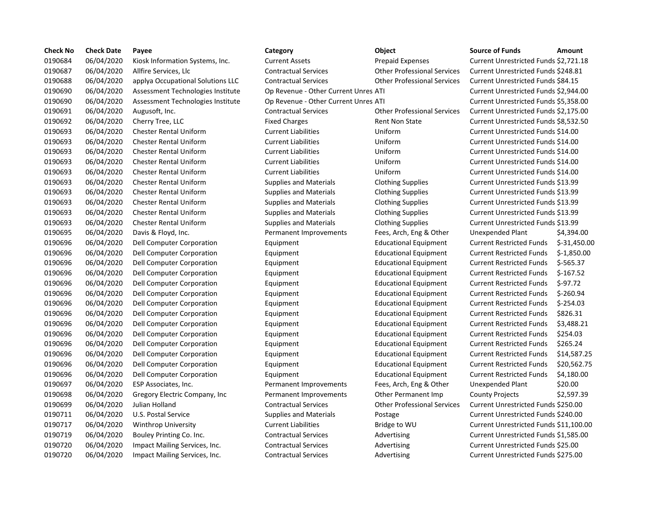| <b>Check No</b> | <b>Check Date</b> | Payee                             | Category                             | Object                             | <b>Source of Funds</b>               | Amount     |
|-----------------|-------------------|-----------------------------------|--------------------------------------|------------------------------------|--------------------------------------|------------|
| 0190684         | 06/04/2020        | Kiosk Information Systems, Inc.   | <b>Current Assets</b>                | <b>Prepaid Expenses</b>            | Current Unrestricted Funds \$2,721.1 |            |
| 0190687         | 06/04/2020        | Allfire Services, Llc             | <b>Contractual Services</b>          | <b>Other Professional Services</b> | Current Unrestricted Funds \$248.81  |            |
| 0190688         | 06/04/2020        | applya Occupational Solutions LLC | <b>Contractual Services</b>          | <b>Other Professional Services</b> | Current Unrestricted Funds \$84.15   |            |
| 0190690         | 06/04/2020        | Assessment Technologies Institute | Op Revenue - Other Current Unres ATI |                                    | Current Unrestricted Funds \$2,944.  |            |
| 0190690         | 06/04/2020        | Assessment Technologies Institute | Op Revenue - Other Current Unres ATI |                                    | Current Unrestricted Funds \$5,358.0 |            |
| 0190691         | 06/04/2020        | Augusoft, Inc.                    | <b>Contractual Services</b>          | <b>Other Professional Services</b> | Current Unrestricted Funds \$2,175.0 |            |
| 0190692         | 06/04/2020        | Cherry Tree, LLC                  | <b>Fixed Charges</b>                 | <b>Rent Non State</b>              | Current Unrestricted Funds \$8,532.5 |            |
| 0190693         | 06/04/2020        | <b>Chester Rental Uniform</b>     | <b>Current Liabilities</b>           | Uniform                            | Current Unrestricted Funds \$14.00   |            |
| 0190693         | 06/04/2020        | <b>Chester Rental Uniform</b>     | <b>Current Liabilities</b>           | Uniform                            | Current Unrestricted Funds \$14.00   |            |
| 0190693         | 06/04/2020        | <b>Chester Rental Uniform</b>     | <b>Current Liabilities</b>           | Uniform                            | Current Unrestricted Funds \$14.00   |            |
| 0190693         | 06/04/2020        | <b>Chester Rental Uniform</b>     | <b>Current Liabilities</b>           | Uniform                            | Current Unrestricted Funds \$14.00   |            |
| 0190693         | 06/04/2020        | <b>Chester Rental Uniform</b>     | <b>Current Liabilities</b>           | Uniform                            | Current Unrestricted Funds \$14.00   |            |
| 0190693         | 06/04/2020        | Chester Rental Uniform            | <b>Supplies and Materials</b>        | <b>Clothing Supplies</b>           | Current Unrestricted Funds \$13.99   |            |
| 0190693         | 06/04/2020        | Chester Rental Uniform            | <b>Supplies and Materials</b>        | <b>Clothing Supplies</b>           | Current Unrestricted Funds \$13.99   |            |
| 0190693         | 06/04/2020        | <b>Chester Rental Uniform</b>     | <b>Supplies and Materials</b>        | <b>Clothing Supplies</b>           | Current Unrestricted Funds \$13.99   |            |
| 0190693         | 06/04/2020        | <b>Chester Rental Uniform</b>     | <b>Supplies and Materials</b>        | <b>Clothing Supplies</b>           | Current Unrestricted Funds \$13.99   |            |
| 0190693         | 06/04/2020        | <b>Chester Rental Uniform</b>     | <b>Supplies and Materials</b>        | <b>Clothing Supplies</b>           | Current Unrestricted Funds \$13.99   |            |
| 0190695         | 06/04/2020        | Davis & Floyd, Inc.               | Permanent Improvements               | Fees, Arch, Eng & Other            | Unexpended Plant                     | \$4,394.0  |
| 0190696         | 06/04/2020        | Dell Computer Corporation         | Equipment                            | <b>Educational Equipment</b>       | <b>Current Restricted Funds</b>      | $$-31,450$ |
| 0190696         | 06/04/2020        | Dell Computer Corporation         | Equipment                            | <b>Educational Equipment</b>       | <b>Current Restricted Funds</b>      | $$-1,850.$ |
| 0190696         | 06/04/2020        | Dell Computer Corporation         | Equipment                            | <b>Educational Equipment</b>       | <b>Current Restricted Funds</b>      | $$-565.3$  |
| 0190696         | 06/04/2020        | Dell Computer Corporation         | Equipment                            | <b>Educational Equipment</b>       | <b>Current Restricted Funds</b>      | $$-167.52$ |
| 0190696         | 06/04/2020        | Dell Computer Corporation         | Equipment                            | <b>Educational Equipment</b>       | <b>Current Restricted Funds</b>      | $$-97.72$  |
| 0190696         | 06/04/2020        | Dell Computer Corporation         | Equipment                            | <b>Educational Equipment</b>       | <b>Current Restricted Funds</b>      | $$-260.94$ |
| 0190696         | 06/04/2020        | Dell Computer Corporation         | Equipment                            | <b>Educational Equipment</b>       | <b>Current Restricted Funds</b>      | $$-254.03$ |
| 0190696         | 06/04/2020        | Dell Computer Corporation         | Equipment                            | <b>Educational Equipment</b>       | <b>Current Restricted Funds</b>      | \$826.31   |
| 0190696         | 06/04/2020        | Dell Computer Corporation         | Equipment                            | <b>Educational Equipment</b>       | <b>Current Restricted Funds</b>      | \$3,488.2  |
| 0190696         | 06/04/2020        | Dell Computer Corporation         | Equipment                            | <b>Educational Equipment</b>       | <b>Current Restricted Funds</b>      | \$254.03   |
| 0190696         | 06/04/2020        | Dell Computer Corporation         | Equipment                            | <b>Educational Equipment</b>       | <b>Current Restricted Funds</b>      | \$265.24   |
| 0190696         | 06/04/2020        | Dell Computer Corporation         | Equipment                            | <b>Educational Equipment</b>       | <b>Current Restricted Funds</b>      | \$14,587   |
| 0190696         | 06/04/2020        | Dell Computer Corporation         | Equipment                            | <b>Educational Equipment</b>       | <b>Current Restricted Funds</b>      | \$20,562   |
| 0190696         | 06/04/2020        | Dell Computer Corporation         | Equipment                            | <b>Educational Equipment</b>       | <b>Current Restricted Funds</b>      | \$4,180.0  |
| 0190697         | 06/04/2020        | ESP Associates, Inc.              | Permanent Improvements               | Fees, Arch, Eng & Other            | Unexpended Plant                     | \$20.00    |
| 0190698         | 06/04/2020        | Gregory Electric Company, Inc.    | Permanent Improvements               | Other Permanent Imp                | <b>County Projects</b>               | \$2,597.3  |
| 0190699         | 06/04/2020        | Julian Holland                    | <b>Contractual Services</b>          | <b>Other Professional Services</b> | Current Unrestricted Funds \$250.00  |            |
| 0190711         | 06/04/2020        | U.S. Postal Service               | <b>Supplies and Materials</b>        | Postage                            | Current Unrestricted Funds \$240.00  |            |
| 0190717         | 06/04/2020        | <b>Winthrop University</b>        | <b>Current Liabilities</b>           | Bridge to WU                       | Current Unrestricted Funds \$11,100  |            |
| 0190719         | 06/04/2020        | Bouley Printing Co. Inc.          | <b>Contractual Services</b>          | Advertising                        | Current Unrestricted Funds \$1,585.0 |            |
| 0190720         | 06/04/2020        | Impact Mailing Services, Inc.     | <b>Contractual Services</b>          | Advertising                        | Current Unrestricted Funds \$25.00   |            |
| 0190720         | 06/04/2020        | Impact Mailing Services, Inc.     | <b>Contractual Services</b>          | Advertising                        | Current Unrestricted Funds \$275.00  |            |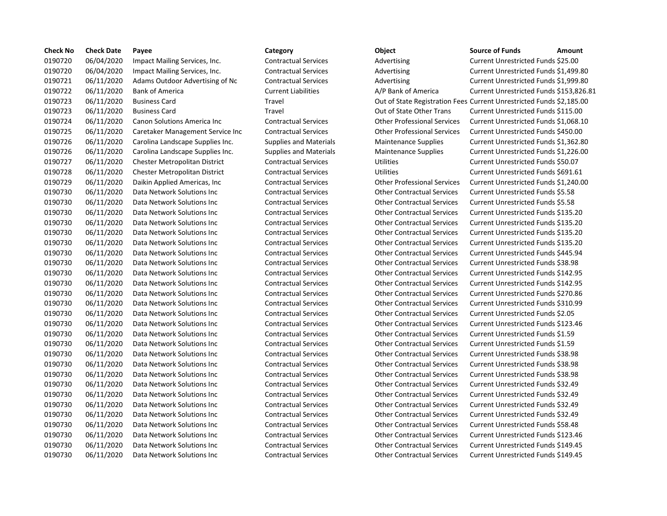| <b>Check No</b> | <b>Check Date</b> | Payee                            | Category                      | Object                                                              | <b>Source of Funds</b>               | Amount |
|-----------------|-------------------|----------------------------------|-------------------------------|---------------------------------------------------------------------|--------------------------------------|--------|
| 0190720         | 06/04/2020        | Impact Mailing Services, Inc.    | <b>Contractual Services</b>   | Advertising                                                         | Current Unrestricted Funds \$25.00   |        |
| 0190720         | 06/04/2020        | Impact Mailing Services, Inc.    | <b>Contractual Services</b>   | Advertising                                                         | Current Unrestricted Funds \$1,499.8 |        |
| 0190721         | 06/11/2020        | Adams Outdoor Advertising of Nc  | <b>Contractual Services</b>   | Advertising                                                         | Current Unrestricted Funds \$1,999.8 |        |
| 0190722         | 06/11/2020        | <b>Bank of America</b>           | <b>Current Liabilities</b>    | A/P Bank of America                                                 | Current Unrestricted Funds \$153,82  |        |
| 0190723         | 06/11/2020        | <b>Business Card</b>             | Travel                        | Out of State Registration Fees Current Unrestricted Funds \$2,185.0 |                                      |        |
| 0190723         | 06/11/2020        | <b>Business Card</b>             | Travel                        | Out of State Other Trans                                            | Current Unrestricted Funds \$115.00  |        |
| 0190724         | 06/11/2020        | Canon Solutions America Inc      | <b>Contractual Services</b>   | <b>Other Professional Services</b>                                  | Current Unrestricted Funds \$1,068.1 |        |
| 0190725         | 06/11/2020        | Caretaker Management Service Inc | <b>Contractual Services</b>   | <b>Other Professional Services</b>                                  | Current Unrestricted Funds \$450.00  |        |
| 0190726         | 06/11/2020        | Carolina Landscape Supplies Inc. | <b>Supplies and Materials</b> | <b>Maintenance Supplies</b>                                         | Current Unrestricted Funds \$1,362.8 |        |
| 0190726         | 06/11/2020        | Carolina Landscape Supplies Inc. | <b>Supplies and Materials</b> | <b>Maintenance Supplies</b>                                         | Current Unrestricted Funds \$1,226.0 |        |
| 0190727         | 06/11/2020        | Chester Metropolitan District    | <b>Contractual Services</b>   | <b>Utilities</b>                                                    | Current Unrestricted Funds \$50.07   |        |
| 0190728         | 06/11/2020        | Chester Metropolitan District    | <b>Contractual Services</b>   | <b>Utilities</b>                                                    | Current Unrestricted Funds \$691.61  |        |
| 0190729         | 06/11/2020        | Daikin Applied Americas, Inc.    | <b>Contractual Services</b>   | <b>Other Professional Services</b>                                  | Current Unrestricted Funds \$1,240.0 |        |
| 0190730         | 06/11/2020        | Data Network Solutions Inc       | <b>Contractual Services</b>   | <b>Other Contractual Services</b>                                   | Current Unrestricted Funds \$5.58    |        |
| 0190730         | 06/11/2020        | Data Network Solutions Inc       | <b>Contractual Services</b>   | <b>Other Contractual Services</b>                                   | Current Unrestricted Funds \$5.58    |        |
| 0190730         | 06/11/2020        | Data Network Solutions Inc       | <b>Contractual Services</b>   | <b>Other Contractual Services</b>                                   | Current Unrestricted Funds \$135.20  |        |
| 0190730         | 06/11/2020        | Data Network Solutions Inc       | <b>Contractual Services</b>   | <b>Other Contractual Services</b>                                   | Current Unrestricted Funds \$135.20  |        |
| 0190730         | 06/11/2020        | Data Network Solutions Inc       | <b>Contractual Services</b>   | <b>Other Contractual Services</b>                                   | Current Unrestricted Funds \$135.20  |        |
| 0190730         | 06/11/2020        | Data Network Solutions Inc       | <b>Contractual Services</b>   | <b>Other Contractual Services</b>                                   | Current Unrestricted Funds \$135.20  |        |
| 0190730         | 06/11/2020        | Data Network Solutions Inc       | <b>Contractual Services</b>   | <b>Other Contractual Services</b>                                   | Current Unrestricted Funds \$445.94  |        |
| 0190730         | 06/11/2020        | Data Network Solutions Inc       | <b>Contractual Services</b>   | <b>Other Contractual Services</b>                                   | Current Unrestricted Funds \$38.98   |        |
| 0190730         | 06/11/2020        | Data Network Solutions Inc       | <b>Contractual Services</b>   | <b>Other Contractual Services</b>                                   | Current Unrestricted Funds \$142.95  |        |
| 0190730         | 06/11/2020        | Data Network Solutions Inc       | <b>Contractual Services</b>   | <b>Other Contractual Services</b>                                   | Current Unrestricted Funds \$142.95  |        |
| 0190730         | 06/11/2020        | Data Network Solutions Inc       | <b>Contractual Services</b>   | <b>Other Contractual Services</b>                                   | Current Unrestricted Funds \$270.86  |        |
| 0190730         | 06/11/2020        | Data Network Solutions Inc       | <b>Contractual Services</b>   | <b>Other Contractual Services</b>                                   | Current Unrestricted Funds \$310.99  |        |
| 0190730         | 06/11/2020        | Data Network Solutions Inc       | <b>Contractual Services</b>   | <b>Other Contractual Services</b>                                   | Current Unrestricted Funds \$2.05    |        |
| 0190730         | 06/11/2020        | Data Network Solutions Inc       | <b>Contractual Services</b>   | <b>Other Contractual Services</b>                                   | Current Unrestricted Funds \$123.46  |        |
| 0190730         | 06/11/2020        | Data Network Solutions Inc       | <b>Contractual Services</b>   | <b>Other Contractual Services</b>                                   | Current Unrestricted Funds \$1.59    |        |
| 0190730         | 06/11/2020        | Data Network Solutions Inc       | <b>Contractual Services</b>   | <b>Other Contractual Services</b>                                   | Current Unrestricted Funds \$1.59    |        |
| 0190730         | 06/11/2020        | Data Network Solutions Inc       | <b>Contractual Services</b>   | <b>Other Contractual Services</b>                                   | Current Unrestricted Funds \$38.98   |        |
| 0190730         | 06/11/2020        | Data Network Solutions Inc       | <b>Contractual Services</b>   | <b>Other Contractual Services</b>                                   | Current Unrestricted Funds \$38.98   |        |
| 0190730         | 06/11/2020        | Data Network Solutions Inc       | <b>Contractual Services</b>   | <b>Other Contractual Services</b>                                   | Current Unrestricted Funds \$38.98   |        |
| 0190730         | 06/11/2020        | Data Network Solutions Inc       | <b>Contractual Services</b>   | <b>Other Contractual Services</b>                                   | Current Unrestricted Funds \$32.49   |        |
| 0190730         | 06/11/2020        | Data Network Solutions Inc       | <b>Contractual Services</b>   | <b>Other Contractual Services</b>                                   | Current Unrestricted Funds \$32.49   |        |
| 0190730         | 06/11/2020        | Data Network Solutions Inc       | <b>Contractual Services</b>   | <b>Other Contractual Services</b>                                   | Current Unrestricted Funds \$32.49   |        |
| 0190730         | 06/11/2020        | Data Network Solutions Inc       | <b>Contractual Services</b>   | <b>Other Contractual Services</b>                                   | Current Unrestricted Funds \$32.49   |        |
| 0190730         | 06/11/2020        | Data Network Solutions Inc       | <b>Contractual Services</b>   | <b>Other Contractual Services</b>                                   | Current Unrestricted Funds \$58.48   |        |
| 0190730         | 06/11/2020        | Data Network Solutions Inc       | <b>Contractual Services</b>   | <b>Other Contractual Services</b>                                   | Current Unrestricted Funds \$123.46  |        |
| 0190730         | 06/11/2020        | Data Network Solutions Inc       | <b>Contractual Services</b>   | <b>Other Contractual Services</b>                                   | Current Unrestricted Funds \$149.45  |        |
| 0190730         | 06/11/2020        | Data Network Solutions Inc       | <b>Contractual Services</b>   | <b>Other Contractual Services</b>                                   | Current Unrestricted Funds \$149.45  |        |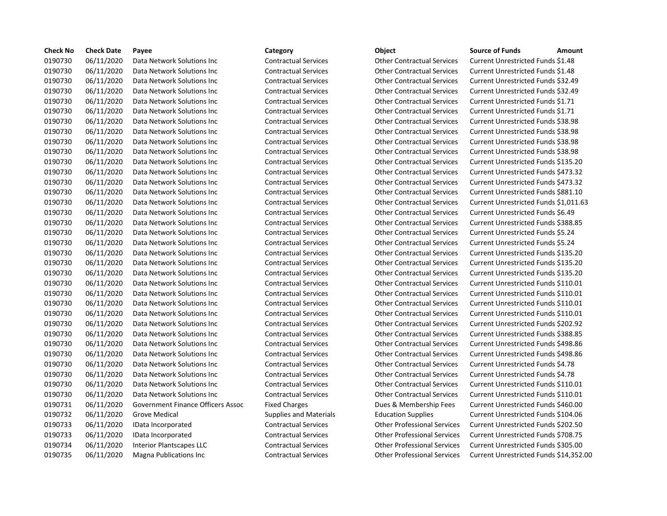| <b>Check No</b> | <b>Check Date</b> | Payee                             | Category                      | Object                             | <b>Source of Funds</b><br>Amount         |
|-----------------|-------------------|-----------------------------------|-------------------------------|------------------------------------|------------------------------------------|
| 0190730         | 06/11/2020        | Data Network Solutions Inc        | <b>Contractual Services</b>   | <b>Other Contractual Services</b>  | Current Unrestricted Funds \$1.48        |
| 0190730         | 06/11/2020        | Data Network Solutions Inc        | <b>Contractual Services</b>   | <b>Other Contractual Services</b>  | Current Unrestricted Funds \$1.48        |
| 0190730         | 06/11/2020        | Data Network Solutions Inc        | <b>Contractual Services</b>   | <b>Other Contractual Services</b>  | Current Unrestricted Funds \$32.49       |
| 0190730         | 06/11/2020        | Data Network Solutions Inc        | <b>Contractual Services</b>   | <b>Other Contractual Services</b>  | Current Unrestricted Funds \$32.49       |
| 0190730         | 06/11/2020        | Data Network Solutions Inc        | <b>Contractual Services</b>   | <b>Other Contractual Services</b>  | Current Unrestricted Funds \$1.71        |
| 0190730         | 06/11/2020        | Data Network Solutions Inc        | <b>Contractual Services</b>   | <b>Other Contractual Services</b>  | Current Unrestricted Funds \$1.71        |
| 0190730         | 06/11/2020        | Data Network Solutions Inc        | <b>Contractual Services</b>   | <b>Other Contractual Services</b>  | Current Unrestricted Funds \$38.98       |
| 0190730         | 06/11/2020        | Data Network Solutions Inc        | <b>Contractual Services</b>   | <b>Other Contractual Services</b>  | Current Unrestricted Funds \$38.98       |
| 0190730         | 06/11/2020        | Data Network Solutions Inc        | <b>Contractual Services</b>   | <b>Other Contractual Services</b>  | Current Unrestricted Funds \$38.98       |
| 0190730         | 06/11/2020        | Data Network Solutions Inc        | <b>Contractual Services</b>   | <b>Other Contractual Services</b>  | Current Unrestricted Funds \$38.98       |
| 0190730         | 06/11/2020        | Data Network Solutions Inc        | <b>Contractual Services</b>   | <b>Other Contractual Services</b>  | Current Unrestricted Funds \$135.20      |
| 0190730         | 06/11/2020        | Data Network Solutions Inc        | <b>Contractual Services</b>   | <b>Other Contractual Services</b>  | Current Unrestricted Funds \$473.32      |
| 0190730         | 06/11/2020        | Data Network Solutions Inc        | <b>Contractual Services</b>   | <b>Other Contractual Services</b>  | Current Unrestricted Funds \$473.32      |
| 0190730         | 06/11/2020        | Data Network Solutions Inc        | <b>Contractual Services</b>   | <b>Other Contractual Services</b>  | Current Unrestricted Funds \$881.10      |
| 0190730         | 06/11/2020        | Data Network Solutions Inc        | <b>Contractual Services</b>   | <b>Other Contractual Services</b>  | Current Unrestricted Funds \$1,011.6     |
| 0190730         | 06/11/2020        | Data Network Solutions Inc        | <b>Contractual Services</b>   | <b>Other Contractual Services</b>  | Current Unrestricted Funds \$6.49        |
| 0190730         | 06/11/2020        | Data Network Solutions Inc        | <b>Contractual Services</b>   | <b>Other Contractual Services</b>  | Current Unrestricted Funds \$388.85      |
| 0190730         | 06/11/2020        | Data Network Solutions Inc        | <b>Contractual Services</b>   | <b>Other Contractual Services</b>  | Current Unrestricted Funds \$5.24        |
| 0190730         | 06/11/2020        | Data Network Solutions Inc        | <b>Contractual Services</b>   | <b>Other Contractual Services</b>  | Current Unrestricted Funds \$5.24        |
| 0190730         | 06/11/2020        | Data Network Solutions Inc        | <b>Contractual Services</b>   | <b>Other Contractual Services</b>  | Current Unrestricted Funds \$135.20      |
| 0190730         | 06/11/2020        | Data Network Solutions Inc        | <b>Contractual Services</b>   | <b>Other Contractual Services</b>  | Current Unrestricted Funds \$135.20      |
| 0190730         | 06/11/2020        | Data Network Solutions Inc        | <b>Contractual Services</b>   | <b>Other Contractual Services</b>  | Current Unrestricted Funds \$135.20      |
| 0190730         | 06/11/2020        | Data Network Solutions Inc        | <b>Contractual Services</b>   | <b>Other Contractual Services</b>  | Current Unrestricted Funds \$110.01      |
| 0190730         | 06/11/2020        | Data Network Solutions Inc        | <b>Contractual Services</b>   | <b>Other Contractual Services</b>  | Current Unrestricted Funds \$110.01      |
| 0190730         | 06/11/2020        | Data Network Solutions Inc        | <b>Contractual Services</b>   | <b>Other Contractual Services</b>  | Current Unrestricted Funds \$110.01      |
| 0190730         | 06/11/2020        | Data Network Solutions Inc        | <b>Contractual Services</b>   | <b>Other Contractual Services</b>  | Current Unrestricted Funds \$110.01      |
| 0190730         | 06/11/2020        | Data Network Solutions Inc        | <b>Contractual Services</b>   | <b>Other Contractual Services</b>  | Current Unrestricted Funds \$202.92      |
| 0190730         | 06/11/2020        | Data Network Solutions Inc        | <b>Contractual Services</b>   | <b>Other Contractual Services</b>  | Current Unrestricted Funds \$388.85      |
| 0190730         | 06/11/2020        | Data Network Solutions Inc        | <b>Contractual Services</b>   | <b>Other Contractual Services</b>  | Current Unrestricted Funds \$498.86      |
| 0190730         | 06/11/2020        | Data Network Solutions Inc        | <b>Contractual Services</b>   | <b>Other Contractual Services</b>  | Current Unrestricted Funds \$498.86      |
| 0190730         | 06/11/2020        | Data Network Solutions Inc        | <b>Contractual Services</b>   | <b>Other Contractual Services</b>  | <b>Current Unrestricted Funds \$4.78</b> |
| 0190730         | 06/11/2020        | Data Network Solutions Inc        | <b>Contractual Services</b>   | <b>Other Contractual Services</b>  | Current Unrestricted Funds \$4.78        |
| 0190730         | 06/11/2020        | Data Network Solutions Inc        | <b>Contractual Services</b>   | <b>Other Contractual Services</b>  | Current Unrestricted Funds \$110.01      |
| 0190730         | 06/11/2020        | Data Network Solutions Inc        | <b>Contractual Services</b>   | <b>Other Contractual Services</b>  | Current Unrestricted Funds \$110.01      |
| 0190731         | 06/11/2020        | Government Finance Officers Assoc | <b>Fixed Charges</b>          | Dues & Membership Fees             | Current Unrestricted Funds \$460.00      |
| 0190732         | 06/11/2020        | <b>Grove Medical</b>              | <b>Supplies and Materials</b> | <b>Education Supplies</b>          | Current Unrestricted Funds \$104.06      |
| 0190733         | 06/11/2020        | IData Incorporated                | <b>Contractual Services</b>   | <b>Other Professional Services</b> | Current Unrestricted Funds \$202.50      |
| 0190733         | 06/11/2020        | IData Incorporated                | <b>Contractual Services</b>   | <b>Other Professional Services</b> | Current Unrestricted Funds \$708.75      |
| 0190734         | 06/11/2020        | <b>Interior Plantscapes LLC</b>   | <b>Contractual Services</b>   | <b>Other Professional Services</b> | Current Unrestricted Funds \$305.00      |
| 0190735         | 06/11/2020        | <b>Magna Publications Inc.</b>    | <b>Contractual Services</b>   | <b>Other Professional Services</b> | Current Unrestricted Funds \$14,352      |
|                 |                   |                                   |                               |                                    |                                          |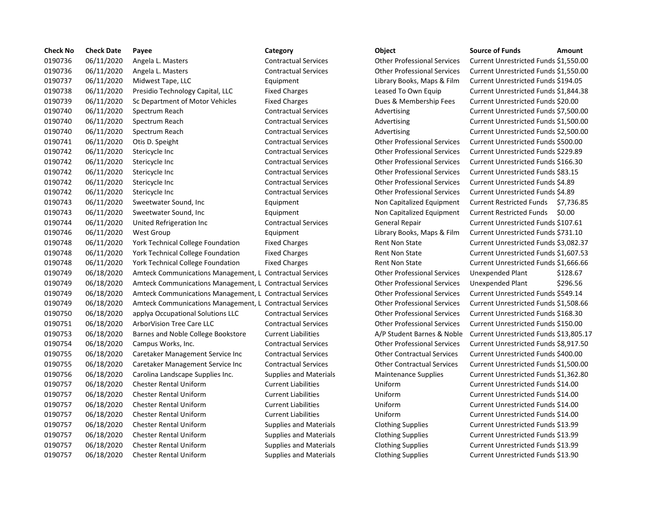| <b>Check No</b> | <b>Check Date</b> | Payee                                                    | Category                      | Object                             | <b>Source of Funds</b><br>Amount             |
|-----------------|-------------------|----------------------------------------------------------|-------------------------------|------------------------------------|----------------------------------------------|
| 0190736         | 06/11/2020        | Angela L. Masters                                        | <b>Contractual Services</b>   | <b>Other Professional Services</b> | Current Unrestricted Funds \$1,550.0         |
| 0190736         | 06/11/2020        | Angela L. Masters                                        | <b>Contractual Services</b>   | <b>Other Professional Services</b> | Current Unrestricted Funds \$1,550.0         |
| 0190737         | 06/11/2020        | Midwest Tape, LLC                                        | Equipment                     | Library Books, Maps & Film         | Current Unrestricted Funds \$194.05          |
| 0190738         | 06/11/2020        | Presidio Technology Capital, LLC                         | <b>Fixed Charges</b>          | Leased To Own Equip                | Current Unrestricted Funds \$1,844.3         |
| 0190739         | 06/11/2020        | Sc Department of Motor Vehicles                          | <b>Fixed Charges</b>          | Dues & Membership Fees             | Current Unrestricted Funds \$20.00           |
| 0190740         | 06/11/2020        | Spectrum Reach                                           | <b>Contractual Services</b>   | Advertising                        | Current Unrestricted Funds \$7,500.0         |
| 0190740         | 06/11/2020        | Spectrum Reach                                           | <b>Contractual Services</b>   | Advertising                        | Current Unrestricted Funds \$1,500.0         |
| 0190740         | 06/11/2020        | Spectrum Reach                                           | <b>Contractual Services</b>   | Advertising                        | Current Unrestricted Funds \$2,500.0         |
| 0190741         | 06/11/2020        | Otis D. Speight                                          | <b>Contractual Services</b>   | <b>Other Professional Services</b> | Current Unrestricted Funds \$500.00          |
| 0190742         | 06/11/2020        | Stericycle Inc                                           | <b>Contractual Services</b>   | <b>Other Professional Services</b> | Current Unrestricted Funds \$229.89          |
| 0190742         | 06/11/2020        | Stericycle Inc                                           | <b>Contractual Services</b>   | <b>Other Professional Services</b> | Current Unrestricted Funds \$166.30          |
| 0190742         | 06/11/2020        | Stericycle Inc                                           | <b>Contractual Services</b>   | <b>Other Professional Services</b> | Current Unrestricted Funds \$83.15           |
| 0190742         | 06/11/2020        | Stericycle Inc                                           | <b>Contractual Services</b>   | <b>Other Professional Services</b> | Current Unrestricted Funds \$4.89            |
| 0190742         | 06/11/2020        | Stericycle Inc                                           | <b>Contractual Services</b>   | <b>Other Professional Services</b> | Current Unrestricted Funds \$4.89            |
| 0190743         | 06/11/2020        | Sweetwater Sound, Inc                                    | Equipment                     | Non Capitalized Equipment          | <b>Current Restricted Funds</b><br>\$7,736.8 |
| 0190743         | 06/11/2020        | Sweetwater Sound, Inc.                                   | Equipment                     | Non Capitalized Equipment          | <b>Current Restricted Funds</b><br>\$0.00    |
| 0190744         | 06/11/2020        | United Refrigeration Inc                                 | <b>Contractual Services</b>   | <b>General Repair</b>              | Current Unrestricted Funds \$107.61          |
| 0190746         | 06/11/2020        | <b>West Group</b>                                        | Equipment                     | Library Books, Maps & Film         | Current Unrestricted Funds \$731.10          |
| 0190748         | 06/11/2020        | York Technical College Foundation                        | <b>Fixed Charges</b>          | <b>Rent Non State</b>              | Current Unrestricted Funds \$3,082.3         |
| 0190748         | 06/11/2020        | York Technical College Foundation                        | <b>Fixed Charges</b>          | <b>Rent Non State</b>              | Current Unrestricted Funds \$1,607.5         |
| 0190748         | 06/11/2020        | <b>York Technical College Foundation</b>                 | <b>Fixed Charges</b>          | <b>Rent Non State</b>              | Current Unrestricted Funds \$1,666.6         |
| 0190749         | 06/18/2020        | Amteck Communications Management, L Contractual Services |                               | <b>Other Professional Services</b> | Unexpended Plant<br>\$128.67                 |
| 0190749         | 06/18/2020        | Amteck Communications Management, L Contractual Services |                               | <b>Other Professional Services</b> | \$296.56<br>Unexpended Plant                 |
| 0190749         | 06/18/2020        | Amteck Communications Management, L Contractual Services |                               | <b>Other Professional Services</b> | Current Unrestricted Funds \$549.14          |
| 0190749         | 06/18/2020        | Amteck Communications Management, L Contractual Services |                               | <b>Other Professional Services</b> | Current Unrestricted Funds \$1,508.6         |
| 0190750         | 06/18/2020        | applya Occupational Solutions LLC                        | <b>Contractual Services</b>   | <b>Other Professional Services</b> | Current Unrestricted Funds \$168.30          |
| 0190751         | 06/18/2020        | <b>ArborVision Tree Care LLC</b>                         | <b>Contractual Services</b>   | <b>Other Professional Services</b> | Current Unrestricted Funds \$150.00          |
| 0190753         | 06/18/2020        | Barnes and Noble College Bookstore                       | <b>Current Liabilities</b>    | A/P Student Barnes & Noble         | Current Unrestricted Funds \$13,805          |
| 0190754         | 06/18/2020        | Campus Works, Inc.                                       | <b>Contractual Services</b>   | <b>Other Professional Services</b> | <b>Current Unrestricted Funds \$8,917.5</b>  |
| 0190755         | 06/18/2020        | Caretaker Management Service Inc                         | <b>Contractual Services</b>   | <b>Other Contractual Services</b>  | Current Unrestricted Funds \$400.00          |
| 0190755         | 06/18/2020        | Caretaker Management Service Inc                         | <b>Contractual Services</b>   | <b>Other Contractual Services</b>  | Current Unrestricted Funds \$1,500.0         |
| 0190756         | 06/18/2020        | Carolina Landscape Supplies Inc.                         | <b>Supplies and Materials</b> | <b>Maintenance Supplies</b>        | Current Unrestricted Funds \$1,362.8         |
| 0190757         | 06/18/2020        | <b>Chester Rental Uniform</b>                            | <b>Current Liabilities</b>    | Uniform                            | Current Unrestricted Funds \$14.00           |
| 0190757         | 06/18/2020        | Chester Rental Uniform                                   | <b>Current Liabilities</b>    | Uniform                            | Current Unrestricted Funds \$14.00           |
| 0190757         | 06/18/2020        | <b>Chester Rental Uniform</b>                            | <b>Current Liabilities</b>    | Uniform                            | Current Unrestricted Funds \$14.00           |
| 0190757         | 06/18/2020        | <b>Chester Rental Uniform</b>                            | <b>Current Liabilities</b>    | Uniform                            | Current Unrestricted Funds \$14.00           |
| 0190757         | 06/18/2020        | <b>Chester Rental Uniform</b>                            | <b>Supplies and Materials</b> | <b>Clothing Supplies</b>           | Current Unrestricted Funds \$13.99           |
| 0190757         | 06/18/2020        | <b>Chester Rental Uniform</b>                            | <b>Supplies and Materials</b> | <b>Clothing Supplies</b>           | Current Unrestricted Funds \$13.99           |
| 0190757         | 06/18/2020        | <b>Chester Rental Uniform</b>                            | <b>Supplies and Materials</b> | <b>Clothing Supplies</b>           | Current Unrestricted Funds \$13.99           |
| 0190757         | 06/18/2020        | <b>Chester Rental Uniform</b>                            | <b>Supplies and Materials</b> | <b>Clothing Supplies</b>           | Current Unrestricted Funds \$13.90           |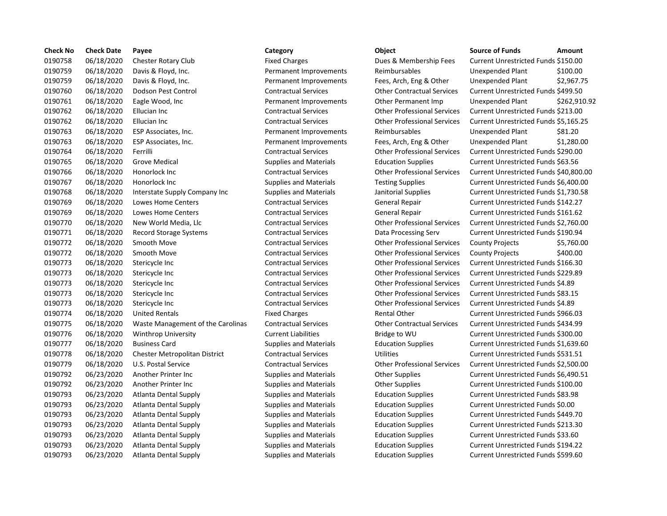| <b>Check No</b> | <b>Check Date</b> | Payee                             | Category                      | Object                             | <b>Source of Funds</b><br>Amount     |
|-----------------|-------------------|-----------------------------------|-------------------------------|------------------------------------|--------------------------------------|
| 0190758         | 06/18/2020        | Chester Rotary Club               | <b>Fixed Charges</b>          | Dues & Membership Fees             | Current Unrestricted Funds \$150.00  |
| 0190759         | 06/18/2020        | Davis & Floyd, Inc.               | Permanent Improvements        | Reimbursables                      | \$100.00<br>Unexpended Plant         |
| 0190759         | 06/18/2020        | Davis & Floyd, Inc.               | Permanent Improvements        | Fees, Arch, Eng & Other            | \$2,967.7<br>Unexpended Plant        |
| 0190760         | 06/18/2020        | Dodson Pest Control               | <b>Contractual Services</b>   | <b>Other Contractual Services</b>  | Current Unrestricted Funds \$499.50  |
| 0190761         | 06/18/2020        | Eagle Wood, Inc                   | Permanent Improvements        | Other Permanent Imp                | \$262,91<br>Unexpended Plant         |
| 0190762         | 06/18/2020        | Ellucian Inc                      | <b>Contractual Services</b>   | <b>Other Professional Services</b> | Current Unrestricted Funds \$213.00  |
| 0190762         | 06/18/2020        | Ellucian Inc                      | <b>Contractual Services</b>   | <b>Other Professional Services</b> | Current Unrestricted Funds \$5,165.2 |
| 0190763         | 06/18/2020        | ESP Associates, Inc.              | Permanent Improvements        | Reimbursables                      | Unexpended Plant<br>\$81.20          |
| 0190763         | 06/18/2020        | ESP Associates, Inc.              | Permanent Improvements        | Fees, Arch, Eng & Other            | \$1,280.0<br>Unexpended Plant        |
| 0190764         | 06/18/2020        | Ferrilli                          | <b>Contractual Services</b>   | <b>Other Professional Services</b> | Current Unrestricted Funds \$290.00  |
| 0190765         | 06/18/2020        | <b>Grove Medical</b>              | <b>Supplies and Materials</b> | <b>Education Supplies</b>          | Current Unrestricted Funds \$63.56   |
| 0190766         | 06/18/2020        | Honorlock Inc                     | <b>Contractual Services</b>   | <b>Other Professional Services</b> | Current Unrestricted Funds \$40,800  |
| 0190767         | 06/18/2020        | Honorlock Inc                     | <b>Supplies and Materials</b> | <b>Testing Supplies</b>            | Current Unrestricted Funds \$6,400.  |
| 0190768         | 06/18/2020        | Interstate Supply Company Inc     | <b>Supplies and Materials</b> | Janitorial Supplies                | Current Unrestricted Funds \$1,730.5 |
| 0190769         | 06/18/2020        | Lowes Home Centers                | <b>Contractual Services</b>   | General Repair                     | Current Unrestricted Funds \$142.27  |
| 0190769         | 06/18/2020        | <b>Lowes Home Centers</b>         | <b>Contractual Services</b>   | General Repair                     | Current Unrestricted Funds \$161.62  |
| 0190770         | 06/18/2020        | New World Media, Llc              | <b>Contractual Services</b>   | <b>Other Professional Services</b> | Current Unrestricted Funds \$2,760.0 |
| 0190771         | 06/18/2020        | Record Storage Systems            | <b>Contractual Services</b>   | Data Processing Serv               | Current Unrestricted Funds \$190.94  |
| 0190772         | 06/18/2020        | Smooth Move                       | <b>Contractual Services</b>   | <b>Other Professional Services</b> | <b>County Projects</b><br>\$5,760.0  |
| 0190772         | 06/18/2020        | Smooth Move                       | <b>Contractual Services</b>   | <b>Other Professional Services</b> | \$400.00<br><b>County Projects</b>   |
| 0190773         | 06/18/2020        | Stericycle Inc                    | <b>Contractual Services</b>   | <b>Other Professional Services</b> | Current Unrestricted Funds \$166.30  |
| 0190773         | 06/18/2020        | Stericycle Inc                    | <b>Contractual Services</b>   | <b>Other Professional Services</b> | Current Unrestricted Funds \$229.89  |
| 0190773         | 06/18/2020        | Stericycle Inc                    | <b>Contractual Services</b>   | <b>Other Professional Services</b> | Current Unrestricted Funds \$4.89    |
| 0190773         | 06/18/2020        | Stericycle Inc                    | <b>Contractual Services</b>   | <b>Other Professional Services</b> | Current Unrestricted Funds \$83.15   |
| 0190773         | 06/18/2020        | Stericycle Inc                    | <b>Contractual Services</b>   | <b>Other Professional Services</b> | Current Unrestricted Funds \$4.89    |
| 0190774         | 06/18/2020        | <b>United Rentals</b>             | <b>Fixed Charges</b>          | <b>Rental Other</b>                | Current Unrestricted Funds \$966.03  |
| 0190775         | 06/18/2020        | Waste Management of the Carolinas | <b>Contractual Services</b>   | <b>Other Contractual Services</b>  | Current Unrestricted Funds \$434.99  |
| 0190776         | 06/18/2020        | <b>Winthrop University</b>        | <b>Current Liabilities</b>    | Bridge to WU                       | Current Unrestricted Funds \$300.00  |
| 0190777         | 06/18/2020        | <b>Business Card</b>              | <b>Supplies and Materials</b> | <b>Education Supplies</b>          | Current Unrestricted Funds \$1,639.6 |
| 0190778         | 06/18/2020        | Chester Metropolitan District     | <b>Contractual Services</b>   | Utilities                          | Current Unrestricted Funds \$531.51  |
| 0190779         | 06/18/2020        | U.S. Postal Service               | <b>Contractual Services</b>   | <b>Other Professional Services</b> | Current Unrestricted Funds \$2,500.0 |
| 0190792         | 06/23/2020        | Another Printer Inc               | <b>Supplies and Materials</b> | <b>Other Supplies</b>              | Current Unrestricted Funds \$6,490.5 |
| 0190792         | 06/23/2020        | Another Printer Inc               | <b>Supplies and Materials</b> | <b>Other Supplies</b>              | Current Unrestricted Funds \$100.00  |
| 0190793         | 06/23/2020        | Atlanta Dental Supply             | <b>Supplies and Materials</b> | <b>Education Supplies</b>          | Current Unrestricted Funds \$83.98   |
| 0190793         | 06/23/2020        | Atlanta Dental Supply             | <b>Supplies and Materials</b> | <b>Education Supplies</b>          | Current Unrestricted Funds \$0.00    |
| 0190793         | 06/23/2020        | Atlanta Dental Supply             | <b>Supplies and Materials</b> | <b>Education Supplies</b>          | Current Unrestricted Funds \$449.70  |
| 0190793         | 06/23/2020        | <b>Atlanta Dental Supply</b>      | <b>Supplies and Materials</b> | <b>Education Supplies</b>          | Current Unrestricted Funds \$213.30  |
| 0190793         | 06/23/2020        | Atlanta Dental Supply             | <b>Supplies and Materials</b> | <b>Education Supplies</b>          | Current Unrestricted Funds \$33.60   |
| 0190793         | 06/23/2020        | <b>Atlanta Dental Supply</b>      | <b>Supplies and Materials</b> | <b>Education Supplies</b>          | Current Unrestricted Funds \$194.22  |
| 0190793         | 06/23/2020        | Atlanta Dental Supply             | <b>Supplies and Materials</b> | <b>Education Supplies</b>          | Current Unrestricted Funds \$599.60  |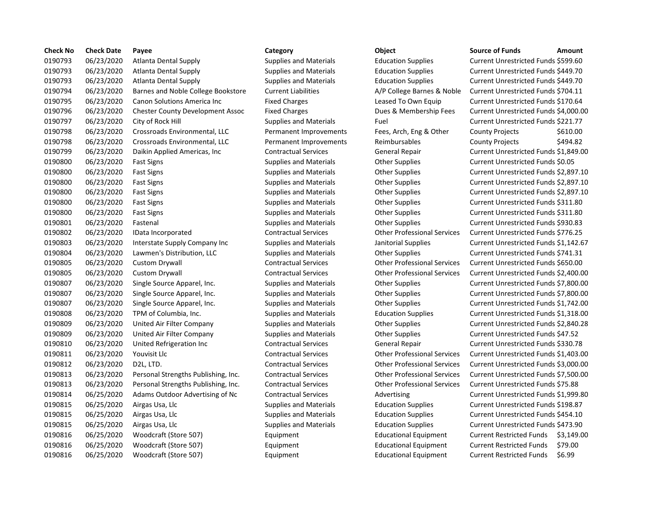| <b>Check No</b> | <b>Check Date</b> | Payee                                   | Category                      | Object                             | <b>Source of Funds</b><br>Amount             |
|-----------------|-------------------|-----------------------------------------|-------------------------------|------------------------------------|----------------------------------------------|
| 0190793         | 06/23/2020        | Atlanta Dental Supply                   | <b>Supplies and Materials</b> | <b>Education Supplies</b>          | Current Unrestricted Funds \$599.60          |
| 0190793         | 06/23/2020        | Atlanta Dental Supply                   | <b>Supplies and Materials</b> | <b>Education Supplies</b>          | Current Unrestricted Funds \$449.70          |
| 0190793         | 06/23/2020        | <b>Atlanta Dental Supply</b>            | <b>Supplies and Materials</b> | <b>Education Supplies</b>          | Current Unrestricted Funds \$449.70          |
| 0190794         | 06/23/2020        | Barnes and Noble College Bookstore      | <b>Current Liabilities</b>    | A/P College Barnes & Noble         | Current Unrestricted Funds \$704.11          |
| 0190795         | 06/23/2020        | Canon Solutions America Inc             | <b>Fixed Charges</b>          | Leased To Own Equip                | Current Unrestricted Funds \$170.64          |
| 0190796         | 06/23/2020        | <b>Chester County Development Assoc</b> | <b>Fixed Charges</b>          | Dues & Membership Fees             | Current Unrestricted Funds \$4,000.0         |
| 0190797         | 06/23/2020        | City of Rock Hill                       | <b>Supplies and Materials</b> | Fuel                               | Current Unrestricted Funds \$221.77          |
| 0190798         | 06/23/2020        | Crossroads Environmental, LLC           | Permanent Improvements        | Fees, Arch, Eng & Other            | <b>County Projects</b><br>\$610.00           |
| 0190798         | 06/23/2020        | Crossroads Environmental, LLC           | Permanent Improvements        | Reimbursables                      | \$494.82<br><b>County Projects</b>           |
| 0190799         | 06/23/2020        | Daikin Applied Americas, Inc.           | <b>Contractual Services</b>   | General Repair                     | Current Unrestricted Funds \$1,849.          |
| 0190800         | 06/23/2020        | <b>Fast Signs</b>                       | <b>Supplies and Materials</b> | <b>Other Supplies</b>              | Current Unrestricted Funds \$0.05            |
| 0190800         | 06/23/2020        | <b>Fast Signs</b>                       | <b>Supplies and Materials</b> | <b>Other Supplies</b>              | Current Unrestricted Funds \$2,897.1         |
| 0190800         | 06/23/2020        | <b>Fast Signs</b>                       | <b>Supplies and Materials</b> | <b>Other Supplies</b>              | Current Unrestricted Funds \$2,897.1         |
| 0190800         | 06/23/2020        | <b>Fast Signs</b>                       | <b>Supplies and Materials</b> | <b>Other Supplies</b>              | Current Unrestricted Funds \$2,897.1         |
| 0190800         | 06/23/2020        | <b>Fast Signs</b>                       | <b>Supplies and Materials</b> | <b>Other Supplies</b>              | Current Unrestricted Funds \$311.80          |
| 0190800         | 06/23/2020        | <b>Fast Signs</b>                       | <b>Supplies and Materials</b> | <b>Other Supplies</b>              | Current Unrestricted Funds \$311.80          |
| 0190801         | 06/23/2020        | Fastenal                                | <b>Supplies and Materials</b> | <b>Other Supplies</b>              | Current Unrestricted Funds \$930.83          |
| 0190802         | 06/23/2020        | IData Incorporated                      | <b>Contractual Services</b>   | <b>Other Professional Services</b> | Current Unrestricted Funds \$776.25          |
| 0190803         | 06/23/2020        | Interstate Supply Company Inc           | <b>Supplies and Materials</b> | Janitorial Supplies                | Current Unrestricted Funds \$1,142.6         |
| 0190804         | 06/23/2020        | Lawmen's Distribution, LLC              | <b>Supplies and Materials</b> | <b>Other Supplies</b>              | Current Unrestricted Funds \$741.31          |
| 0190805         | 06/23/2020        | Custom Drywall                          | <b>Contractual Services</b>   | <b>Other Professional Services</b> | Current Unrestricted Funds \$650.00          |
| 0190805         | 06/23/2020        | <b>Custom Drywall</b>                   | <b>Contractual Services</b>   | <b>Other Professional Services</b> | Current Unrestricted Funds \$2,400.0         |
| 0190807         | 06/23/2020        | Single Source Apparel, Inc.             | <b>Supplies and Materials</b> | <b>Other Supplies</b>              | Current Unrestricted Funds \$7,800.0         |
| 0190807         | 06/23/2020        | Single Source Apparel, Inc.             | <b>Supplies and Materials</b> | <b>Other Supplies</b>              | Current Unrestricted Funds \$7,800.0         |
| 0190807         | 06/23/2020        | Single Source Apparel, Inc.             | <b>Supplies and Materials</b> | <b>Other Supplies</b>              | Current Unrestricted Funds \$1,742.          |
| 0190808         | 06/23/2020        | TPM of Columbia, Inc.                   | <b>Supplies and Materials</b> | <b>Education Supplies</b>          | Current Unrestricted Funds \$1,318.0         |
| 0190809         | 06/23/2020        | United Air Filter Company               | <b>Supplies and Materials</b> | <b>Other Supplies</b>              | Current Unrestricted Funds \$2,840.2         |
| 0190809         | 06/23/2020        | United Air Filter Company               | <b>Supplies and Materials</b> | <b>Other Supplies</b>              | Current Unrestricted Funds \$47.52           |
| 0190810         | 06/23/2020        | United Refrigeration Inc                | <b>Contractual Services</b>   | <b>General Repair</b>              | Current Unrestricted Funds \$330.78          |
| 0190811         | 06/23/2020        | Youvisit Llc                            | <b>Contractual Services</b>   | <b>Other Professional Services</b> | Current Unrestricted Funds \$1,403.          |
| 0190812         | 06/23/2020        | D <sub>2</sub> L, LTD.                  | <b>Contractual Services</b>   | <b>Other Professional Services</b> | Current Unrestricted Funds \$3,000.0         |
| 0190813         | 06/23/2020        | Personal Strengths Publishing, Inc.     | <b>Contractual Services</b>   | <b>Other Professional Services</b> | Current Unrestricted Funds \$7,500.0         |
| 0190813         | 06/23/2020        | Personal Strengths Publishing, Inc.     | <b>Contractual Services</b>   | <b>Other Professional Services</b> | Current Unrestricted Funds \$75.88           |
| 0190814         | 06/25/2020        | Adams Outdoor Advertising of Nc         | <b>Contractual Services</b>   | Advertising                        | Current Unrestricted Funds \$1,999.8         |
| 0190815         | 06/25/2020        | Airgas Usa, Llc                         | <b>Supplies and Materials</b> | <b>Education Supplies</b>          | Current Unrestricted Funds \$198.87          |
| 0190815         | 06/25/2020        | Airgas Usa, Llc                         | <b>Supplies and Materials</b> | <b>Education Supplies</b>          | Current Unrestricted Funds \$454.10          |
| 0190815         | 06/25/2020        | Airgas Usa, Llc                         | <b>Supplies and Materials</b> | <b>Education Supplies</b>          | Current Unrestricted Funds \$473.90          |
| 0190816         | 06/25/2020        | Woodcraft (Store 507)                   | Equipment                     | <b>Educational Equipment</b>       | <b>Current Restricted Funds</b><br>\$3,149.0 |
| 0190816         | 06/25/2020        | Woodcraft (Store 507)                   | Equipment                     | <b>Educational Equipment</b>       | <b>Current Restricted Funds</b><br>\$79.00   |
| 0190816         | 06/25/2020        | Woodcraft (Store 507)                   | Equipment                     | <b>Educational Equipment</b>       | \$6.99<br><b>Current Restricted Funds</b>    |

### Supplies and Materials **Education Supplies Current Unrestricted Funds \$449.70** Supplies and Materials **Education Supplies Current Unrestricted Funds \$449.70** 0190794 06/23/2020 Barnes and Noble College Bookstore Current Liabilities A/P College Barnes & Noble Current Unrestricted Funds \$704.11 Fixed Charges **Canon Solutions America Inc.** Current Unrestricted Funds \$170.64 Fixed Charges **Charges Charges Culled Burges Example Fees** Current Unrestricted Funds \$4,000.00 Supplies and Materials Fuel Fuel **Fuel Current Unrestricted Funds \$221.77** Permanent Improvements Fees, Arch, Eng & Other County Projects \$610.00 Permanent Improvements Reimbursables County Projects \$494.82 0190799 06/23/2020 Daikin Applied Americas, Inc Contractual Services General Repair Current Unrestricted Funds \$1,849.00 Supplies and Materials **Cultum Communist Current Unrestricted Funds \$0.05** Current Unrestricted Funds \$0.05 0190800 06/23/2020 Fast Signs Supplies and Materials Other Supplies Current Unrestricted Funds \$2,897.10 Supplies and Materials **Face Supplies** Current Unrestricted Funds \$2,897.10 Supplies and Materials **Face Supplies** Current Unrestricted Funds \$2,897.10 Supplies and Materials **Face Supplies** Current Unrestricted Funds \$311.80 Supplies and Materials **Face Supplies** Current Unrestricted Funds \$311.80 Supplies and Materials **Face Connect Current Current Unrestricted Funds \$930.83** 0190802 06/23/2020 IData Incorporated Contractual Services Other Professional Services Current Unrestricted Funds \$776.25 0190803 06/23/2020 Interstate Supply Company Inc Supplies and Materials Janitorial Supplies Current Unrestricted Funds \$1,142.67 Supplies and Materials **Current University Current Unrestricted Funds \$741.31** 0190805 06/23/2020 Custom Drywall Contractual Services Other Professional Services Current Unrestricted Funds \$650.00 0190805 06/23/2020 Custom Drywall Contractual Services Other Professional Services Current Unrestricted Funds \$2,400.00 0190807 06/23/2020 Single Source Apparel, Inc. Supplies and Materials Other Supplies Current Unrestricted Funds \$7,800.00 0190807 06/23/2020 Single Source Apparel, Inc. Supplies and Materials Other Supplies Current Unrestricted Funds \$7,800.00 0190807 06/23/2020 Single Source Apparel, Inc. Supplies and Materials Other Supplies Current Unrestricted Funds \$1,742.00 Supplies and Materials **Education Supplies** Current Unrestricted Funds \$1,318.00 0190809 06/23/2020 United Air Filter Company Supplies and Materials Other Supplies Current Unrestricted Funds \$2,840.28 0190809 06/23/2020 United Air Filter Company Supplies and Materials Other Supplies Current Unrestricted Funds \$47.52 0190810 06/23/2020 United Refrigeration Inc Contractual Services General Repair Current Unrestricted Funds \$330.78 0190811 06/23/2020 Youvisit Llc Contractual Services Other Professional Services Current Unrestricted Funds \$1,403.00 0190812 06/23/2020 D2L, LTD. Contractual Services Other Professional Services Current Unrestricted Funds \$3,000.00 0190813 06/23/2020 Personal Strengths Publishing, Inc. Contractual Services Other Professional Services Current Unrestricted Funds \$7,500.00 0190813 06/23/2020 Personal Strengths Publishing, Inc. Contractual Services Other Professional Services Current Unrestricted Funds \$75.88 Ontractual Services **Advertising Current Unrestricted Funds \$1,999.80** 0190815 06/25/2020 Airgas Usa, Llc Supplies and Materials Education Supplies Current Unrestricted Funds \$198.87 0190815 06/25/2020 Airgas Usa, Llc Supplies and Materials Education Supplies Current Unrestricted Funds \$454.10 0190815 06/25/2020 Airgas Usa, Llc Supplies and Materials Education Supplies Current Unrestricted Funds \$473.90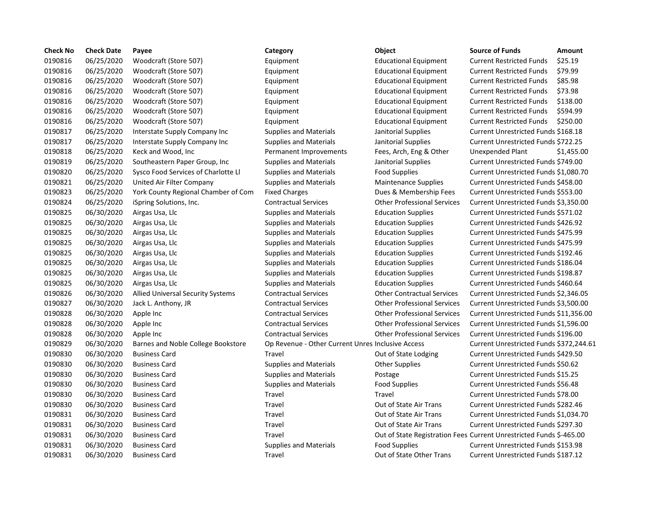| <b>Check No</b> | <b>Check Date</b> | Payee                                    | Category                                          | Object                                                              | <b>Source of Funds</b>                  | Amount     |
|-----------------|-------------------|------------------------------------------|---------------------------------------------------|---------------------------------------------------------------------|-----------------------------------------|------------|
| 0190816         | 06/25/2020        | Woodcraft (Store 507)                    | Equipment                                         | <b>Educational Equipment</b>                                        | <b>Current Restricted Funds</b>         | \$25.19    |
| 0190816         | 06/25/2020        | Woodcraft (Store 507)                    | Equipment                                         | <b>Educational Equipment</b>                                        | <b>Current Restricted Funds</b>         | \$79.99    |
| 0190816         | 06/25/2020        | Woodcraft (Store 507)                    | Equipment                                         | <b>Educational Equipment</b>                                        | <b>Current Restricted Funds</b>         | \$85.98    |
| 0190816         | 06/25/2020        | Woodcraft (Store 507)                    | Equipment                                         | <b>Educational Equipment</b>                                        | <b>Current Restricted Funds</b>         | \$73.98    |
| 0190816         | 06/25/2020        | Woodcraft (Store 507)                    | Equipment                                         | <b>Educational Equipment</b>                                        | <b>Current Restricted Funds</b>         | \$138.00   |
| 0190816         | 06/25/2020        | Woodcraft (Store 507)                    | Equipment                                         | <b>Educational Equipment</b>                                        | <b>Current Restricted Funds</b>         | \$594.99   |
| 0190816         | 06/25/2020        | Woodcraft (Store 507)                    | Equipment                                         | <b>Educational Equipment</b>                                        | <b>Current Restricted Funds</b>         | \$250.00   |
| 0190817         | 06/25/2020        | Interstate Supply Company Inc            | Supplies and Materials                            | Janitorial Supplies                                                 | Current Unrestricted Funds \$168.18     |            |
| 0190817         | 06/25/2020        | Interstate Supply Company Inc            | Supplies and Materials                            | Janitorial Supplies                                                 | Current Unrestricted Funds \$722.25     |            |
| 0190818         | 06/25/2020        | Keck and Wood, Inc                       | Permanent Improvements                            | Fees, Arch, Eng & Other                                             | Unexpended Plant                        | \$1,455.00 |
| 0190819         | 06/25/2020        | Southeastern Paper Group, Inc.           | <b>Supplies and Materials</b>                     | Janitorial Supplies                                                 | Current Unrestricted Funds \$749.00     |            |
| 0190820         | 06/25/2020        | Sysco Food Services of Charlotte Ll      | Supplies and Materials                            | <b>Food Supplies</b>                                                | Current Unrestricted Funds \$1,080.70   |            |
| 0190821         | 06/25/2020        | United Air Filter Company                | <b>Supplies and Materials</b>                     | <b>Maintenance Supplies</b>                                         | Current Unrestricted Funds \$458.00     |            |
| 0190823         | 06/25/2020        | York County Regional Chamber of Com      | <b>Fixed Charges</b>                              | Dues & Membership Fees                                              | Current Unrestricted Funds \$553.00     |            |
| 0190824         | 06/25/2020        | iSpring Solutions, Inc.                  | <b>Contractual Services</b>                       | <b>Other Professional Services</b>                                  | Current Unrestricted Funds \$3,350.00   |            |
| 0190825         | 06/30/2020        | Airgas Usa, Llc                          | Supplies and Materials                            | <b>Education Supplies</b>                                           | Current Unrestricted Funds \$571.02     |            |
| 0190825         | 06/30/2020        | Airgas Usa, Llc                          | Supplies and Materials                            | <b>Education Supplies</b>                                           | Current Unrestricted Funds \$426.92     |            |
| 0190825         | 06/30/2020        | Airgas Usa, Llc                          | Supplies and Materials                            | <b>Education Supplies</b>                                           | Current Unrestricted Funds \$475.99     |            |
| 0190825         | 06/30/2020        | Airgas Usa, Llc                          | Supplies and Materials                            | <b>Education Supplies</b>                                           | Current Unrestricted Funds \$475.99     |            |
| 0190825         | 06/30/2020        | Airgas Usa, Llc                          | Supplies and Materials                            | <b>Education Supplies</b>                                           | Current Unrestricted Funds \$192.46     |            |
| 0190825         | 06/30/2020        | Airgas Usa, Llc                          | <b>Supplies and Materials</b>                     | <b>Education Supplies</b>                                           | Current Unrestricted Funds \$186.04     |            |
| 0190825         | 06/30/2020        | Airgas Usa, Llc                          | <b>Supplies and Materials</b>                     | <b>Education Supplies</b>                                           | Current Unrestricted Funds \$198.87     |            |
| 0190825         | 06/30/2020        | Airgas Usa, Llc                          | <b>Supplies and Materials</b>                     | <b>Education Supplies</b>                                           | Current Unrestricted Funds \$460.64     |            |
| 0190826         | 06/30/2020        | <b>Allied Universal Security Systems</b> | <b>Contractual Services</b>                       | <b>Other Contractual Services</b>                                   | Current Unrestricted Funds \$2,346.05   |            |
| 0190827         | 06/30/2020        | Jack L. Anthony, JR                      | <b>Contractual Services</b>                       | <b>Other Professional Services</b>                                  | Current Unrestricted Funds \$3,500.00   |            |
| 0190828         | 06/30/2020        | Apple Inc                                | <b>Contractual Services</b>                       | <b>Other Professional Services</b>                                  | Current Unrestricted Funds \$11,356.00  |            |
| 0190828         | 06/30/2020        | Apple Inc                                | <b>Contractual Services</b>                       | <b>Other Professional Services</b>                                  | Current Unrestricted Funds \$1,596.00   |            |
| 0190828         | 06/30/2020        | Apple Inc                                | <b>Contractual Services</b>                       | <b>Other Professional Services</b>                                  | Current Unrestricted Funds \$196.00     |            |
| 0190829         | 06/30/2020        | Barnes and Noble College Bookstore       | Op Revenue - Other Current Unres Inclusive Access |                                                                     | Current Unrestricted Funds \$372,244.61 |            |
| 0190830         | 06/30/2020        | <b>Business Card</b>                     | Travel                                            | Out of State Lodging                                                | Current Unrestricted Funds \$429.50     |            |
| 0190830         | 06/30/2020        | <b>Business Card</b>                     | <b>Supplies and Materials</b>                     | <b>Other Supplies</b>                                               | Current Unrestricted Funds \$50.62      |            |
| 0190830         | 06/30/2020        | <b>Business Card</b>                     | <b>Supplies and Materials</b>                     | Postage                                                             | Current Unrestricted Funds \$15.25      |            |
| 0190830         | 06/30/2020        | <b>Business Card</b>                     | <b>Supplies and Materials</b>                     | <b>Food Supplies</b>                                                | Current Unrestricted Funds \$56.48      |            |
| 0190830         | 06/30/2020        | <b>Business Card</b>                     | Travel                                            | Travel                                                              | Current Unrestricted Funds \$78.00      |            |
| 0190830         | 06/30/2020        | <b>Business Card</b>                     | Travel                                            | Out of State Air Trans                                              | Current Unrestricted Funds \$282.46     |            |
| 0190831         | 06/30/2020        | <b>Business Card</b>                     | Travel                                            | Out of State Air Trans                                              | Current Unrestricted Funds \$1,034.70   |            |
| 0190831         | 06/30/2020        | <b>Business Card</b>                     | Travel                                            | Out of State Air Trans                                              | Current Unrestricted Funds \$297.30     |            |
| 0190831         | 06/30/2020        | <b>Business Card</b>                     | Travel                                            | Out of State Registration Fees Current Unrestricted Funds \$-465.00 |                                         |            |
| 0190831         | 06/30/2020        | <b>Business Card</b>                     | <b>Supplies and Materials</b>                     | <b>Food Supplies</b>                                                | Current Unrestricted Funds \$153.98     |            |
| 0190831         | 06/30/2020        | <b>Business Card</b>                     | Travel                                            | Out of State Other Trans                                            | Current Unrestricted Funds \$187.12     |            |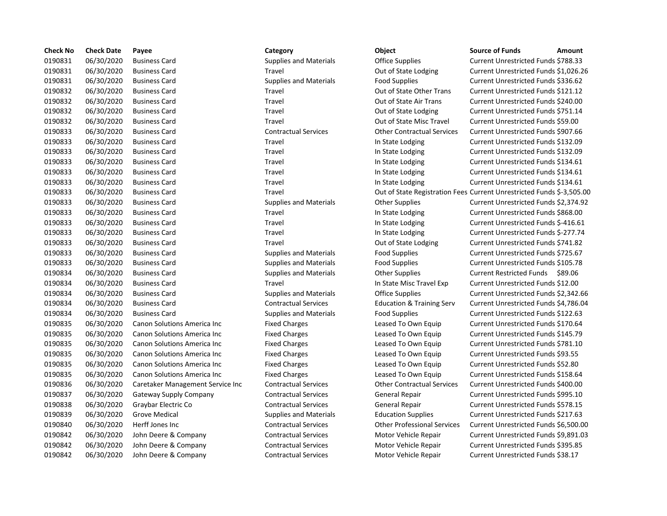| <b>Check No</b> | <b>Check Date</b> | Payee                            | Category                      | Object                               | <b>Source of Funds</b><br><b>Amount</b>                             |
|-----------------|-------------------|----------------------------------|-------------------------------|--------------------------------------|---------------------------------------------------------------------|
| 0190831         | 06/30/2020        | <b>Business Card</b>             | <b>Supplies and Materials</b> | <b>Office Supplies</b>               | Current Unrestricted Funds \$788.33                                 |
| 0190831         | 06/30/2020        | <b>Business Card</b>             | <b>Travel</b>                 | Out of State Lodging                 | Current Unrestricted Funds \$1,026.2                                |
| 0190831         | 06/30/2020        | <b>Business Card</b>             | Supplies and Materials        | <b>Food Supplies</b>                 | Current Unrestricted Funds \$336.62                                 |
| 0190832         | 06/30/2020        | <b>Business Card</b>             | Travel                        | Out of State Other Trans             | Current Unrestricted Funds \$121.12                                 |
| 0190832         | 06/30/2020        | <b>Business Card</b>             | Travel                        | Out of State Air Trans               | Current Unrestricted Funds \$240.00                                 |
| 0190832         | 06/30/2020        | <b>Business Card</b>             | Travel                        | Out of State Lodging                 | Current Unrestricted Funds \$751.14                                 |
| 0190832         | 06/30/2020        | <b>Business Card</b>             | Travel                        | Out of State Misc Travel             | Current Unrestricted Funds \$59.00                                  |
| 0190833         | 06/30/2020        | <b>Business Card</b>             | <b>Contractual Services</b>   | <b>Other Contractual Services</b>    | Current Unrestricted Funds \$907.66                                 |
| 0190833         | 06/30/2020        | <b>Business Card</b>             | Travel                        | In State Lodging                     | Current Unrestricted Funds \$132.09                                 |
| 0190833         | 06/30/2020        | <b>Business Card</b>             | Travel                        | In State Lodging                     | Current Unrestricted Funds \$132.09                                 |
| 0190833         | 06/30/2020        | <b>Business Card</b>             | Travel                        | In State Lodging                     | Current Unrestricted Funds \$134.61                                 |
| 0190833         | 06/30/2020        | <b>Business Card</b>             | Travel                        | In State Lodging                     | Current Unrestricted Funds \$134.61                                 |
| 0190833         | 06/30/2020        | <b>Business Card</b>             | Travel                        | In State Lodging                     | Current Unrestricted Funds \$134.61                                 |
| 0190833         | 06/30/2020        | <b>Business Card</b>             | <b>Travel</b>                 |                                      | Out of State Registration Fees Current Unrestricted Funds \$-3,505. |
| 0190833         | 06/30/2020        | <b>Business Card</b>             | <b>Supplies and Materials</b> | <b>Other Supplies</b>                | Current Unrestricted Funds \$2,374.9                                |
| 0190833         | 06/30/2020        | <b>Business Card</b>             | Travel                        | In State Lodging                     | Current Unrestricted Funds \$868.00                                 |
| 0190833         | 06/30/2020        | <b>Business Card</b>             | Travel                        | In State Lodging                     | Current Unrestricted Funds \$-416.61                                |
| 0190833         | 06/30/2020        | <b>Business Card</b>             | Travel                        | In State Lodging                     | Current Unrestricted Funds \$-277.74                                |
| 0190833         | 06/30/2020        | <b>Business Card</b>             | Travel                        | Out of State Lodging                 | Current Unrestricted Funds \$741.82                                 |
| 0190833         | 06/30/2020        | <b>Business Card</b>             | <b>Supplies and Materials</b> | <b>Food Supplies</b>                 | Current Unrestricted Funds \$725.67                                 |
| 0190833         | 06/30/2020        | <b>Business Card</b>             | <b>Supplies and Materials</b> | <b>Food Supplies</b>                 | Current Unrestricted Funds \$105.78                                 |
| 0190834         | 06/30/2020        | <b>Business Card</b>             | <b>Supplies and Materials</b> | <b>Other Supplies</b>                | Current Restricted Funds \$89.06                                    |
| 0190834         | 06/30/2020        | <b>Business Card</b>             | Travel                        | In State Misc Travel Exp             | Current Unrestricted Funds \$12.00                                  |
| 0190834         | 06/30/2020        | <b>Business Card</b>             | <b>Supplies and Materials</b> | Office Supplies                      | Current Unrestricted Funds \$2,342.6                                |
| 0190834         | 06/30/2020        | <b>Business Card</b>             | <b>Contractual Services</b>   | <b>Education &amp; Training Serv</b> | Current Unrestricted Funds \$4,786.0                                |
| 0190834         | 06/30/2020        | <b>Business Card</b>             | <b>Supplies and Materials</b> | <b>Food Supplies</b>                 | Current Unrestricted Funds \$122.63                                 |
| 0190835         | 06/30/2020        | Canon Solutions America Inc      | <b>Fixed Charges</b>          | Leased To Own Equip                  | Current Unrestricted Funds \$170.64                                 |
| 0190835         | 06/30/2020        | Canon Solutions America Inc      | <b>Fixed Charges</b>          | Leased To Own Equip                  | Current Unrestricted Funds \$145.79                                 |
| 0190835         | 06/30/2020        | Canon Solutions America Inc      | <b>Fixed Charges</b>          | Leased To Own Equip                  | Current Unrestricted Funds \$781.10                                 |
| 0190835         | 06/30/2020        | Canon Solutions America Inc      | <b>Fixed Charges</b>          | Leased To Own Equip                  | Current Unrestricted Funds \$93.55                                  |
| 0190835         | 06/30/2020        | Canon Solutions America Inc      | <b>Fixed Charges</b>          | Leased To Own Equip                  | Current Unrestricted Funds \$52.80                                  |
| 0190835         | 06/30/2020        | Canon Solutions America Inc      | <b>Fixed Charges</b>          | Leased To Own Equip                  | Current Unrestricted Funds \$158.64                                 |
| 0190836         | 06/30/2020        | Caretaker Management Service Inc | <b>Contractual Services</b>   | <b>Other Contractual Services</b>    | Current Unrestricted Funds \$400.00                                 |
| 0190837         | 06/30/2020        | <b>Gateway Supply Company</b>    | <b>Contractual Services</b>   | General Repair                       | Current Unrestricted Funds \$995.10                                 |
| 0190838         | 06/30/2020        | Graybar Electric Co              | <b>Contractual Services</b>   | <b>General Repair</b>                | Current Unrestricted Funds \$578.15                                 |
| 0190839         | 06/30/2020        | <b>Grove Medical</b>             | <b>Supplies and Materials</b> | <b>Education Supplies</b>            | Current Unrestricted Funds \$217.63                                 |
| 0190840         | 06/30/2020        | Herff Jones Inc                  | <b>Contractual Services</b>   | <b>Other Professional Services</b>   | Current Unrestricted Funds \$6,500.0                                |
| 0190842         | 06/30/2020        | John Deere & Company             | <b>Contractual Services</b>   | Motor Vehicle Repair                 | Current Unrestricted Funds \$9,891.                                 |
| 0190842         | 06/30/2020        | John Deere & Company             | <b>Contractual Services</b>   | Motor Vehicle Repair                 | Current Unrestricted Funds \$395.85                                 |
| 0190842         | 06/30/2020        | John Deere & Company             | <b>Contractual Services</b>   | Motor Vehicle Repair                 | Current Unrestricted Funds \$38.17                                  |

## Supplies and Materials **Contact Supplies** Current Unrestricted Funds \$788.33 Travel **1908 2019** Out of State Lodging Current Unrestricted Funds \$1,026.26 0190831 06/30/2020 Business Card Supplies and Materials Food Supplies Current Unrestricted Funds \$336.62 0190832 06/30/2020 Business Card Travel Out of State Other Trans Current Unrestricted Funds \$121.12 0190832 06/30/2020 Business Card Travel Out of State Air Trans Current Unrestricted Funds \$240.00 Travel **2020 2020** Out of State Lodging Current Unrestricted Funds \$751.14 Travel **2020** Business Cut of State Misc Travel Current Unrestricted Funds \$59.00 0190833 06/30/2020 Business Card Contractual Services Other Contractual Services Current Unrestricted Funds \$907.66 0190833 06/30/2020 Business Card Travel In State Lodging Current Unrestricted Funds \$132.09 0190833 06/30/2020 Business Card Travel In State Lodging Current Unrestricted Funds \$132.09 Travel **12008** In State Lodging Current Unrestricted Funds \$134.61 0190833 06/30/2020 Business Card Travel In State Lodging Current Unrestricted Funds \$134.61 Travel **1.1908** In State Lodging Current Unrestricted Funds \$134.61 0190833 06/30/2020 Business Card Travel Out of State Registration Fees Current Unrestricted Funds \$-3,505.00 Supplies and Materials **Current Current Unrestricted Funds \$2,374.92** Travel **In State Lodging Current Unrestricted Funds \$868.00** Travel **Example 2019** In State Lodging Current Unrestricted Funds \$-416.61 Travel **12083 Current Unrestricted Funds \$-277.74** Travel **1908** 2015 Out of State Lodging Current Unrestricted Funds \$741.82 0190833 06/30/2020 Business Card Supplies and Materials Food Supplies Current Unrestricted Funds \$725.67 0190833 06/30/2020 Business Card Supplies and Materials Food Supplies Current Unrestricted Funds \$105.78 0190834 06/30/2020 Business Card Supplies and Materials Other Supplies Current Restricted Funds \$89.06 0190834 06/30/2020 Business Card Travel In State Misc Travel Exp Current Unrestricted Funds \$12.00 Supplies and Materials **Contact Card Supplies** Current Unrestricted Funds \$2,342.66 0190834 06/30/2020 Business Card Contractual Services Education & Training Serv Current Unrestricted Funds \$4,786.04 0190834 06/30/2020 Business Card Supplies and Materials Food Supplies Current Unrestricted Funds \$122.63 nc Fixed Charges **Canon Solutions America Inc Fixed Charges** Leased To Own Equip Current Unrestricted Funds \$170.64 nc Fixed Charges **Canon Solutions America Inc Fixed Charges** Leased To Own Equip Current Unrestricted Funds \$145.79 nc Fixed Charges **Canon Solutions America Inc.** Leased To Own Equip Current Unrestricted Funds \$781.10 0190835 06/30/2020 Canon Solutions America Inc Fixed Charges Leased To Own Equip Current Unrestricted Funds \$93.55 nc Fixed Charges **1988 Canon Solutions America Inc.** Current Unrestricted Funds \$52.80 nc Fixed Charges **Canon Solutions America Inc.** Leased To Own Equip Current Unrestricted Funds \$158.64 0190836 06/30/2020 Caretaker Management Service Inc Contractual Services Other Contractual Services Current Unrestricted Funds \$400.00 0190837 06/30/2020 Gateway Supply Company Contractual Services General Repair Current Unrestricted Funds \$995.10 0190838 06/30/2020 Graybar Electric Co Contractual Services General Repair Current Unrestricted Funds \$578.15 0190839 06/30/2020 Grove Medical Supplies and Materials Education Supplies Current Unrestricted Funds \$217.63 0190840 06/30/2020 Herff Jones Inc Contractual Services Other Professional Services Current Unrestricted Funds \$6,500.00 0190842 06/30/2020 John Deere & Company Contractual Services Motor Vehicle Repair Current Unrestricted Funds \$9,891.03 0190842 06/30/2020 John Deere & Company Contractual Services Motor Vehicle Repair Current Unrestricted Funds \$395.85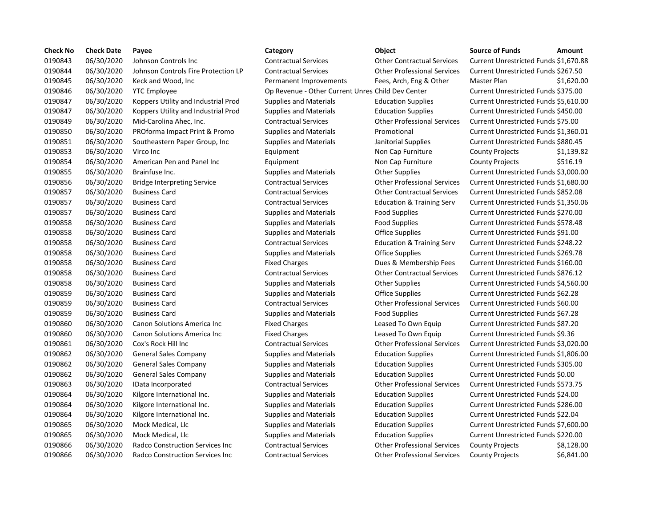| <b>Check No</b> | <b>Check Date</b> | Payee                                   | Category                                          | Object                               | <b>Source of Funds</b>                | Amount     |
|-----------------|-------------------|-----------------------------------------|---------------------------------------------------|--------------------------------------|---------------------------------------|------------|
| 0190843         | 06/30/2020        | Johnson Controls Inc                    | <b>Contractual Services</b>                       | <b>Other Contractual Services</b>    | Current Unrestricted Funds \$1,670.88 |            |
| 0190844         | 06/30/2020        | Johnson Controls Fire Protection LP     | <b>Contractual Services</b>                       | <b>Other Professional Services</b>   | Current Unrestricted Funds \$267.50   |            |
| 0190845         | 06/30/2020        | Keck and Wood, Inc.                     | Permanent Improvements                            | Fees, Arch, Eng & Other              | Master Plan                           | \$1,620.00 |
| 0190846         | 06/30/2020        | <b>YTC Employee</b>                     | Op Revenue - Other Current Unres Child Dev Center |                                      | Current Unrestricted Funds \$375.00   |            |
| 0190847         | 06/30/2020        | Koppers Utility and Industrial Prod     | <b>Supplies and Materials</b>                     | <b>Education Supplies</b>            | Current Unrestricted Funds \$5,610.00 |            |
| 0190847         | 06/30/2020        | Koppers Utility and Industrial Prod     | <b>Supplies and Materials</b>                     | <b>Education Supplies</b>            | Current Unrestricted Funds \$450.00   |            |
| 0190849         | 06/30/2020        | Mid-Carolina Ahec, Inc.                 | <b>Contractual Services</b>                       | <b>Other Professional Services</b>   | Current Unrestricted Funds \$75.00    |            |
| 0190850         | 06/30/2020        | PROforma Impact Print & Promo           | <b>Supplies and Materials</b>                     | Promotional                          | Current Unrestricted Funds \$1,360.01 |            |
| 0190851         | 06/30/2020        | Southeastern Paper Group, Inc.          | <b>Supplies and Materials</b>                     | Janitorial Supplies                  | Current Unrestricted Funds \$880.45   |            |
| 0190853         | 06/30/2020        | Virco Inc                               | Equipment                                         | Non Cap Furniture                    | <b>County Projects</b>                | \$1,139.82 |
| 0190854         | 06/30/2020        | American Pen and Panel Inc              | Equipment                                         | Non Cap Furniture                    | <b>County Projects</b>                | \$516.19   |
| 0190855         | 06/30/2020        | Brainfuse Inc.                          | <b>Supplies and Materials</b>                     | <b>Other Supplies</b>                | Current Unrestricted Funds \$3,000.00 |            |
| 0190856         | 06/30/2020        | <b>Bridge Interpreting Service</b>      | <b>Contractual Services</b>                       | <b>Other Professional Services</b>   | Current Unrestricted Funds \$1,680.00 |            |
| 0190857         | 06/30/2020        | <b>Business Card</b>                    | <b>Contractual Services</b>                       | <b>Other Contractual Services</b>    | Current Unrestricted Funds \$852.08   |            |
| 0190857         | 06/30/2020        | <b>Business Card</b>                    | <b>Contractual Services</b>                       | <b>Education &amp; Training Serv</b> | Current Unrestricted Funds \$1,350.06 |            |
| 0190857         | 06/30/2020        | <b>Business Card</b>                    | <b>Supplies and Materials</b>                     | <b>Food Supplies</b>                 | Current Unrestricted Funds \$270.00   |            |
| 0190858         | 06/30/2020        | <b>Business Card</b>                    | <b>Supplies and Materials</b>                     | <b>Food Supplies</b>                 | Current Unrestricted Funds \$578.48   |            |
| 0190858         | 06/30/2020        | <b>Business Card</b>                    | <b>Supplies and Materials</b>                     | Office Supplies                      | Current Unrestricted Funds \$91.00    |            |
| 0190858         | 06/30/2020        | <b>Business Card</b>                    | <b>Contractual Services</b>                       | <b>Education &amp; Training Serv</b> | Current Unrestricted Funds \$248.22   |            |
| 0190858         | 06/30/2020        | <b>Business Card</b>                    | <b>Supplies and Materials</b>                     | <b>Office Supplies</b>               | Current Unrestricted Funds \$269.78   |            |
| 0190858         | 06/30/2020        | <b>Business Card</b>                    | <b>Fixed Charges</b>                              | Dues & Membership Fees               | Current Unrestricted Funds \$160.00   |            |
| 0190858         | 06/30/2020        | <b>Business Card</b>                    | <b>Contractual Services</b>                       | <b>Other Contractual Services</b>    | Current Unrestricted Funds \$876.12   |            |
| 0190858         | 06/30/2020        | <b>Business Card</b>                    | <b>Supplies and Materials</b>                     | <b>Other Supplies</b>                | Current Unrestricted Funds \$4,560.00 |            |
| 0190859         | 06/30/2020        | <b>Business Card</b>                    | <b>Supplies and Materials</b>                     | Office Supplies                      | Current Unrestricted Funds \$62.28    |            |
| 0190859         | 06/30/2020        | <b>Business Card</b>                    | <b>Contractual Services</b>                       | <b>Other Professional Services</b>   | Current Unrestricted Funds \$60.00    |            |
| 0190859         | 06/30/2020        | <b>Business Card</b>                    | <b>Supplies and Materials</b>                     | <b>Food Supplies</b>                 | Current Unrestricted Funds \$67.28    |            |
| 0190860         | 06/30/2020        | Canon Solutions America Inc             | <b>Fixed Charges</b>                              | Leased To Own Equip                  | Current Unrestricted Funds \$87.20    |            |
| 0190860         | 06/30/2020        | <b>Canon Solutions America Inc.</b>     | <b>Fixed Charges</b>                              | Leased To Own Equip                  | Current Unrestricted Funds \$9.36     |            |
| 0190861         | 06/30/2020        | Cox's Rock Hill Inc                     | <b>Contractual Services</b>                       | <b>Other Professional Services</b>   | Current Unrestricted Funds \$3,020.00 |            |
| 0190862         | 06/30/2020        | <b>General Sales Company</b>            | <b>Supplies and Materials</b>                     | <b>Education Supplies</b>            | Current Unrestricted Funds \$1,806.00 |            |
| 0190862         | 06/30/2020        | <b>General Sales Company</b>            | <b>Supplies and Materials</b>                     | <b>Education Supplies</b>            | Current Unrestricted Funds \$305.00   |            |
| 0190862         | 06/30/2020        | <b>General Sales Company</b>            | <b>Supplies and Materials</b>                     | <b>Education Supplies</b>            | Current Unrestricted Funds \$0.00     |            |
| 0190863         | 06/30/2020        | IData Incorporated                      | <b>Contractual Services</b>                       | <b>Other Professional Services</b>   | Current Unrestricted Funds \$573.75   |            |
| 0190864         | 06/30/2020        | Kilgore International Inc.              | <b>Supplies and Materials</b>                     | <b>Education Supplies</b>            | Current Unrestricted Funds \$24.00    |            |
| 0190864         | 06/30/2020        | Kilgore International Inc.              | <b>Supplies and Materials</b>                     | <b>Education Supplies</b>            | Current Unrestricted Funds \$286.00   |            |
| 0190864         | 06/30/2020        | Kilgore International Inc.              | <b>Supplies and Materials</b>                     | <b>Education Supplies</b>            | Current Unrestricted Funds \$22.04    |            |
| 0190865         | 06/30/2020        | Mock Medical, Llc                       | <b>Supplies and Materials</b>                     | <b>Education Supplies</b>            | Current Unrestricted Funds \$7,600.00 |            |
| 0190865         | 06/30/2020        | Mock Medical, Llc                       | <b>Supplies and Materials</b>                     | <b>Education Supplies</b>            | Current Unrestricted Funds \$220.00   |            |
| 0190866         | 06/30/2020        | Radco Construction Services Inc         | <b>Contractual Services</b>                       | <b>Other Professional Services</b>   | <b>County Projects</b>                | \$8,128.00 |
| 0190866         | 06/30/2020        | <b>Radco Construction Services Inc.</b> | <b>Contractual Services</b>                       | <b>Other Professional Services</b>   | <b>County Projects</b>                | \$6,841.00 |

# 06/30/2020 Johnson Controls Inc Contractual Services Other Contractual Services Current Unrestricted Funds \$1,670.88 06/30/2020 Johnson Controls Fire Protection LP Contractual Services Other Professional Services Current Unrestricted Funds \$267.50 Permanent Improvements Fees, Arch, Eng & Other Master Plan \$1,620.00 Op Revenue - Other Current Unres Child Dev Center Current Unrestricted Funds \$375.00 Supplies and Materials **Education Supplies** Current Unrestricted Funds \$5,610.00 Supplies and Materials **Education Supplies Current Unrestricted Funds \$450.00**  06/30/2020 Mid-Carolina Ahec, Inc. Contractual Services Other Professional Services Current Unrestricted Funds \$75.00 06/30/2020 PROforma Impact Print & Promo Supplies and Materials Promotional Current Unrestricted Funds \$1,360.01 06/30/2020 Southeastern Paper Group, Inc Supplies and Materials Janitorial Supplies Current Unrestricted Funds \$880.45 06/30/2020 Brainfuse Inc. Supplies and Materials Other Supplies Current Unrestricted Funds \$3,000.00 06/30/2020 Bridge Interpreting Service Contractual Services Other Professional Services Current Unrestricted Funds \$1,680.00 06/30/2020 Business Card Contractual Services Other Contractual Services Current Unrestricted Funds \$852.08 06/30/2020 Business Card Contractual Services Education & Training Serv Current Unrestricted Funds \$1,350.06 06/30/2020 Business Card Supplies and Materials Food Supplies Current Unrestricted Funds \$270.00 06/30/2020 Business Card Supplies and Materials Food Supplies Current Unrestricted Funds \$578.48 Supplies and Materials **Contact Contact Current Current Unrestricted Funds \$91.00**  06/30/2020 Business Card Contractual Services Education & Training Serv Current Unrestricted Funds \$248.22 Supplies and Materials **Contact Supplies** Current Unrestricted Funds \$269.78 Fixed Charges **2008** Dues & Membership Fees Current Unrestricted Funds \$160.00 06/30/2020 Business Card Contractual Services Other Contractual Services Current Unrestricted Funds \$876.12 06/30/2020 Business Card Supplies and Materials Other Supplies Current Unrestricted Funds \$4,560.00 Supplies and Materials **Contact Card Supplies** Current Unrestricted Funds \$62.28 06/30/2020 Business Card Contractual Services Other Professional Services Current Unrestricted Funds \$60.00 06/30/2020 Business Card Supplies and Materials Food Supplies Current Unrestricted Funds \$67.28 Fixed Charges **Canon Canon Solutions America Inc.** Current Unrestricted Funds \$87.20 Fixed Charges **Canon Canon Solutions America Inc.** Current Unrestricted Funds \$9.36 06/30/2020 Cox's Rock Hill Inc Contractual Services Other Professional Services Current Unrestricted Funds \$3,020.00 06/30/2020 General Sales Company Supplies and Materials Education Supplies Current Unrestricted Funds \$1,806.00 06/30/2020 General Sales Company Supplies and Materials Education Supplies Current Unrestricted Funds \$305.00 06/30/2020 General Sales Company Supplies and Materials Education Supplies Current Unrestricted Funds \$0.00 06/30/2020 IData Incorporated Contractual Services Other Professional Services Current Unrestricted Funds \$573.75 06/30/2020 Kilgore International Inc. Supplies and Materials Education Supplies Current Unrestricted Funds \$24.00 06/30/2020 Kilgore International Inc. Supplies and Materials Education Supplies Current Unrestricted Funds \$286.00 06/30/2020 Kilgore International Inc. Supplies and Materials Education Supplies Current Unrestricted Funds \$22.04 06/30/2020 Mock Medical, Llc Supplies and Materials Education Supplies Current Unrestricted Funds \$7,600.00 06/30/2020 Mock Medical, Llc Supplies and Materials Education Supplies Current Unrestricted Funds \$220.00 06/30/2020 Radco Construction Services Inc Contractual Services Other Professional Services County Projects \$8,128.00